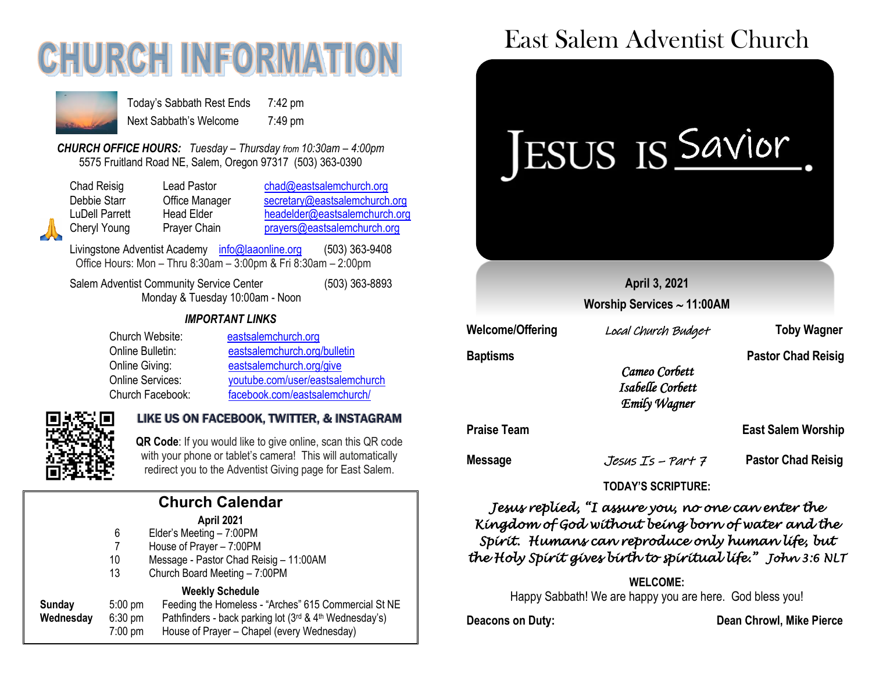# **CHURCH INFORMATI**



Today's Sabbath Rest Ends 7:42 pm Next Sabbath's Welcome 7:49 pm

*CHURCH OFFICE HOURS: Tuesday – Thursday from 10:30am – 4:00pm* 5575 Fruitland Road NE, Salem, Oregon 97317 (503) 363-0390

| Chad Reisig    | Lead Pastor    | chad@eastsalemchurch.org      |
|----------------|----------------|-------------------------------|
| Debbie Starr   | Office Manager | secretary@eastsalemchurch.org |
| LuDell Parrett | Head Elder     | headelder@eastsalemchurch.org |
| Cheryl Young   | Prayer Chain   | prayers@eastsalemchurch.org   |

Livingstone Adventist Academy [info@laaonline.org](mailto:info@laaonline.org) (503) 363-9408 Office Hours: Mon – Thru 8:30am – 3:00pm & Fri 8:30am – 2:00pm

Salem Adventist Community Service Center (503) 363-8893 Monday & Tuesday 10:00am - Noon

### *IMPORTANT LINKS*

| Church Website:         | eastsalemchurch.org              |
|-------------------------|----------------------------------|
| Online Bulletin:        | eastsalemchurch.org/bulletin     |
| Online Giving:          | eastsalemchurch.org/give         |
| <b>Online Services:</b> | youtube.com/user/eastsalemchurch |
| Church Facebook:        | facebook.com/eastsalemchurch/    |



### LIKE US ON FACEBOOK, TWITTER, & INSTAGRAM

**QR Code**: If you would like to give online, scan this QR code with your phone or tablet's camera! This will automatically redirect you to the Adventist Giving page for East Salem.

|           |                   | <b>Church Calendar</b>                                 |       |
|-----------|-------------------|--------------------------------------------------------|-------|
|           |                   | April 2021                                             | Kív   |
|           | 6                 | Elder's Meeting - 7:00PM                               |       |
|           |                   | House of Prayer - 7:00PM                               | Sp    |
|           | 10                | Message - Pastor Chad Reisig - 11:00AM                 | the   |
|           | 13                | Church Board Meeting - 7:00PM                          |       |
|           |                   | <b>Weekly Schedule</b>                                 |       |
| Sunday    | $5:00 \text{ pm}$ | Feeding the Homeless - "Arches" 615 Commercial St NE   |       |
| Wednesday | $6:30 \text{ pm}$ | Pathfinders - back parking lot (3rd & 4th Wednesday's) | Deaco |
|           | $7:00$ pm         | House of Prayer - Chapel (every Wednesday)             |       |

## East Salem Adventist Church



### *Jesus replied, "I assure you, no one can enter the Kingdom of God without being born of water and the Spirit. Humans can reproduce only human life, but the Holy Spirit gives birth to spiritual life." John 3:6 NLT*

### **WELCOME:**

Happy Sabbath! We are happy you are here. God bless you!

**Deacons on Duty: Dean Chrowl, Mike Pierce**